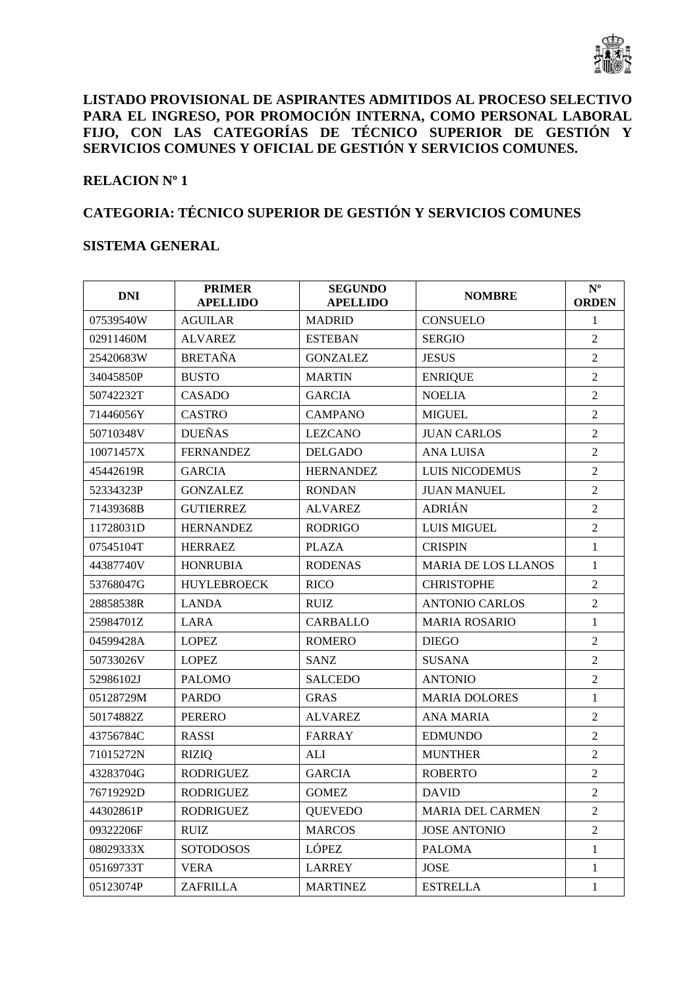

### **LISTADO PROVISIONAL DE ASPIRANTES ADMITIDOS AL PROCESO SELECTIVO PARA EL INGRESO, POR PROMOCIÓN INTERNA, COMO PERSONAL LABORAL FIJO, CON LAS CATEGORÍAS DE TÉCNICO SUPERIOR DE GESTIÓN Y SERVICIOS COMUNES Y OFICIAL DE GESTIÓN Y SERVICIOS COMUNES.**

### **RELACION Nº 1**

### **CATEGORIA: TÉCNICO SUPERIOR DE GESTIÓN Y SERVICIOS COMUNES**

#### **SISTEMA GENERAL**

| <b>DNI</b> | <b>PRIMER</b><br><b>APELLIDO</b> | <b>SEGUNDO</b><br><b>APELLIDO</b> | <b>NOMBRE</b>              | $\mathbf{N}^{\mathrm{o}}$<br><b>ORDEN</b> |
|------------|----------------------------------|-----------------------------------|----------------------------|-------------------------------------------|
| 07539540W  | <b>AGUILAR</b>                   | <b>MADRID</b>                     | <b>CONSUELO</b>            | $\mathbf{1}$                              |
| 02911460M  | <b>ALVAREZ</b>                   | <b>ESTEBAN</b>                    | <b>SERGIO</b>              | 2                                         |
| 25420683W  | <b>BRETAÑA</b>                   | <b>GONZALEZ</b>                   | <b>JESUS</b>               | $\overline{2}$                            |
| 34045850P  | <b>BUSTO</b>                     | <b>MARTIN</b>                     | <b>ENRIQUE</b>             | $\overline{2}$                            |
| 50742232T  | CASADO                           | <b>GARCIA</b>                     | <b>NOELIA</b>              | $\overline{2}$                            |
| 71446056Y  | <b>CASTRO</b>                    | <b>CAMPANO</b>                    | <b>MIGUEL</b>              | $\overline{2}$                            |
| 50710348V  | <b>DUEÑAS</b>                    | <b>LEZCANO</b>                    | <b>JUAN CARLOS</b>         | $\overline{2}$                            |
| 10071457X  | <b>FERNANDEZ</b>                 | <b>DELGADO</b>                    | <b>ANA LUISA</b>           | $\overline{2}$                            |
| 45442619R  | <b>GARCIA</b>                    | <b>HERNANDEZ</b>                  | <b>LUIS NICODEMUS</b>      | $\overline{2}$                            |
| 52334323P  | <b>GONZALEZ</b>                  | <b>RONDAN</b>                     | <b>JUAN MANUEL</b>         | 2                                         |
| 71439368B  | <b>GUTIERREZ</b>                 | <b>ALVAREZ</b>                    | <b>ADRIÁN</b>              | 2                                         |
| 11728031D  | <b>HERNANDEZ</b>                 | <b>RODRIGO</b>                    | <b>LUIS MIGUEL</b>         | $\overline{2}$                            |
| 07545104T  | <b>HERRAEZ</b>                   | <b>PLAZA</b>                      | <b>CRISPIN</b>             | $\mathbf{1}$                              |
| 44387740V  | <b>HONRUBIA</b>                  | <b>RODENAS</b>                    | <b>MARIA DE LOS LLANOS</b> | $\mathbf{1}$                              |
| 53768047G  | <b>HUYLEBROECK</b>               | <b>RICO</b>                       | <b>CHRISTOPHE</b>          | $\overline{2}$                            |
| 28858538R  | <b>LANDA</b>                     | <b>RUIZ</b>                       | <b>ANTONIO CARLOS</b>      | $\overline{2}$                            |
| 25984701Z  | <b>LARA</b>                      | <b>CARBALLO</b>                   | <b>MARIA ROSARIO</b>       | $\mathbf{1}$                              |
| 04599428A  | <b>LOPEZ</b>                     | <b>ROMERO</b>                     | <b>DIEGO</b>               | $\overline{2}$                            |
| 50733026V  | <b>LOPEZ</b>                     | <b>SANZ</b>                       | <b>SUSANA</b>              | $\overline{2}$                            |
| 52986102J  | <b>PALOMO</b>                    | <b>SALCEDO</b>                    | <b>ANTONIO</b>             | $\overline{2}$                            |
| 05128729M  | <b>PARDO</b>                     | <b>GRAS</b>                       | <b>MARIA DOLORES</b>       | $\mathbf{1}$                              |
| 50174882Z  | <b>PERERO</b>                    | <b>ALVAREZ</b>                    | ANA MARIA                  | $\sqrt{2}$                                |
| 43756784C  | <b>RASSI</b>                     | <b>FARRAY</b>                     | <b>EDMUNDO</b>             | $\overline{2}$                            |
| 71015272N  | <b>RIZIQ</b>                     | ALI                               | <b>MUNTHER</b>             | $\overline{2}$                            |
| 43283704G  | <b>RODRIGUEZ</b>                 | <b>GARCIA</b>                     | <b>ROBERTO</b>             | $\overline{2}$                            |
| 76719292D  | <b>RODRIGUEZ</b>                 | <b>GOMEZ</b>                      | <b>DAVID</b>               | $\overline{2}$                            |
| 44302861P  | <b>RODRIGUEZ</b>                 | <b>QUEVEDO</b>                    | MARIA DEL CARMEN           | $\overline{2}$                            |
| 09322206F  | <b>RUIZ</b>                      | <b>MARCOS</b>                     | <b>JOSE ANTONIO</b>        | $\overline{2}$                            |
| 08029333X  | <b>SOTODOSOS</b>                 | <b>LÓPEZ</b>                      | <b>PALOMA</b>              | $\mathbf{1}$                              |
| 05169733T  | <b>VERA</b>                      | <b>LARREY</b>                     | <b>JOSE</b>                | $\mathbf{1}$                              |
| 05123074P  | <b>ZAFRILLA</b>                  | <b>MARTINEZ</b>                   | <b>ESTRELLA</b>            | $\mathbf{1}$                              |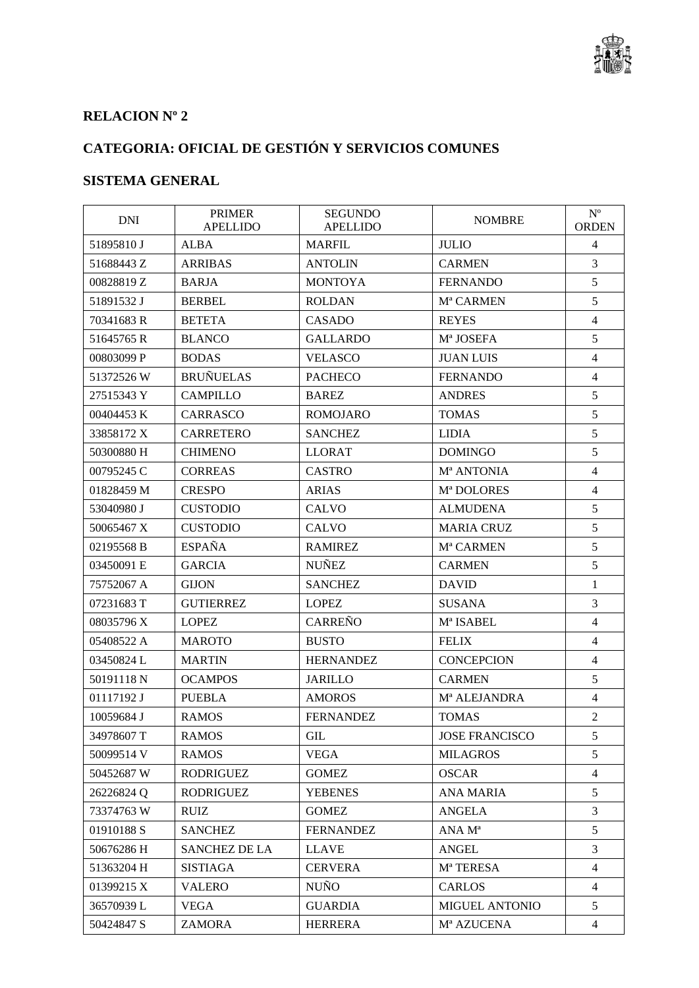

## **RELACION Nº 2**

# **CATEGORIA: OFICIAL DE GESTIÓN Y SERVICIOS COMUNES**

## **SISTEMA GENERAL**

| <b>DNI</b> | <b>PRIMER</b><br><b>APELLIDO</b> | <b>SEGUNDO</b><br><b>APELLIDO</b> | <b>NOMBRE</b>                                              | $N^{\rm o}$<br><b>ORDEN</b> |
|------------|----------------------------------|-----------------------------------|------------------------------------------------------------|-----------------------------|
| 51895810 J | <b>ALBA</b>                      | <b>MARFIL</b>                     | <b>JULIO</b>                                               | $\overline{4}$              |
| 51688443 Z | <b>ARRIBAS</b>                   | <b>ANTOLIN</b>                    | <b>CARMEN</b>                                              | $\overline{3}$              |
| 00828819Z  | <b>BARJA</b>                     | <b>MONTOYA</b>                    | <b>FERNANDO</b>                                            | 5                           |
| 51891532 J | <b>BERBEL</b>                    | <b>ROLDAN</b>                     | M <sup>a</sup> CARMEN                                      | 5                           |
| 70341683 R | <b>BETETA</b>                    | <b>CASADO</b>                     | <b>REYES</b>                                               | $\overline{4}$              |
| 51645765 R | <b>BLANCO</b>                    | <b>GALLARDO</b>                   | M <sup>ª</sup> JOSEFA                                      | 5                           |
| 00803099 P | <b>BODAS</b>                     | <b>VELASCO</b>                    | <b>JUAN LUIS</b>                                           | $\overline{4}$              |
| 51372526W  | <b>BRUÑUELAS</b>                 | <b>PACHECO</b>                    | <b>FERNANDO</b>                                            | $\overline{4}$              |
| 27515343 Y | <b>CAMPILLO</b>                  | <b>BAREZ</b>                      | <b>ANDRES</b>                                              | 5                           |
| 00404453 K | CARRASCO                         | <b>ROMOJARO</b>                   | <b>TOMAS</b>                                               | 5                           |
| 33858172 X | <b>CARRETERO</b>                 | <b>SANCHEZ</b>                    | <b>LIDIA</b>                                               | 5                           |
| 50300880 H | <b>CHIMENO</b>                   | <b>LLORAT</b>                     | <b>DOMINGO</b>                                             | 5                           |
| 00795245 C | <b>CORREAS</b>                   | <b>CASTRO</b>                     | M <sup>ª</sup> ANTONIA                                     | $\overline{4}$              |
| 01828459 M | <b>CRESPO</b>                    | <b>ARIAS</b>                      | Mª DOLORES                                                 | $\overline{4}$              |
| 53040980 J | <b>CUSTODIO</b>                  | CALVO                             | <b>ALMUDENA</b>                                            | 5                           |
| 50065467 X | <b>CUSTODIO</b>                  | <b>CALVO</b>                      | <b>MARIA CRUZ</b>                                          | 5                           |
| 02195568 B | <b>ESPAÑA</b>                    | <b>RAMIREZ</b>                    | M <sup>a</sup> CARMEN                                      | 5                           |
| 03450091 E | <b>GARCIA</b>                    | <b>NUÑEZ</b>                      | <b>CARMEN</b>                                              | 5                           |
| 75752067 A | <b>GIJON</b>                     | <b>SANCHEZ</b>                    | <b>DAVID</b>                                               | 1                           |
| 07231683 T | <b>GUTIERREZ</b>                 | <b>LOPEZ</b>                      | <b>SUSANA</b>                                              | 3                           |
| 08035796 X | <b>LOPEZ</b>                     | CARREÑO                           | Mª ISABEL                                                  | $\overline{4}$              |
| 05408522 A | <b>MAROTO</b>                    | <b>BUSTO</b>                      | <b>FELIX</b>                                               | $\overline{4}$              |
| 03450824L  | <b>MARTIN</b>                    | <b>HERNANDEZ</b>                  | <b>CONCEPCION</b>                                          | $\overline{4}$              |
| 50191118N  | <b>OCAMPOS</b>                   | <b>JARILLO</b>                    | <b>CARMEN</b>                                              | 5                           |
| 01117192 J | <b>PUEBLA</b>                    | <b>AMOROS</b>                     | M <sup>a</sup> ALEJANDRA                                   | $\overline{4}$              |
| 10059684 J | <b>RAMOS</b>                     | <b>FERNANDEZ</b>                  | <b>TOMAS</b>                                               | $\overline{2}$              |
| 34978607 T | <b>RAMOS</b>                     | <b>GIL</b>                        | <b>JOSE FRANCISCO</b>                                      | 5                           |
| 50099514 V | <b>RAMOS</b>                     | <b>VEGA</b>                       | <b>MILAGROS</b>                                            | 5                           |
| 50452687 W | <b>RODRIGUEZ</b>                 | <b>GOMEZ</b>                      | <b>OSCAR</b>                                               | $\overline{4}$              |
| 26226824 Q | <b>RODRIGUEZ</b>                 | <b>YEBENES</b>                    | <b>ANA MARIA</b>                                           | 5                           |
| 73374763 W | <b>RUIZ</b>                      | <b>GOMEZ</b>                      | ANGELA                                                     | 3                           |
| 01910188 S | <b>SANCHEZ</b>                   | <b>FERNANDEZ</b>                  | $\mathbf{A}\mathbf{N}\mathbf{A}$ $\mathbf{M}^{\mathrm{a}}$ | 5                           |
| 50676286 H | <b>SANCHEZ DE LA</b>             | <b>LLAVE</b>                      | <b>ANGEL</b>                                               | 3                           |
| 51363204 H | <b>SISTIAGA</b>                  | <b>CERVERA</b>                    | M <sup>ª</sup> TERESA                                      | $\overline{4}$              |
| 01399215 X | <b>VALERO</b>                    | <b>NUÑO</b>                       | <b>CARLOS</b>                                              | $\overline{4}$              |
| 36570939L  | <b>VEGA</b>                      | <b>GUARDIA</b>                    | MIGUEL ANTONIO                                             | 5                           |
| 50424847 S | <b>ZAMORA</b>                    | <b>HERRERA</b>                    | M <sup>ª</sup> AZUCENA                                     | $\overline{4}$              |